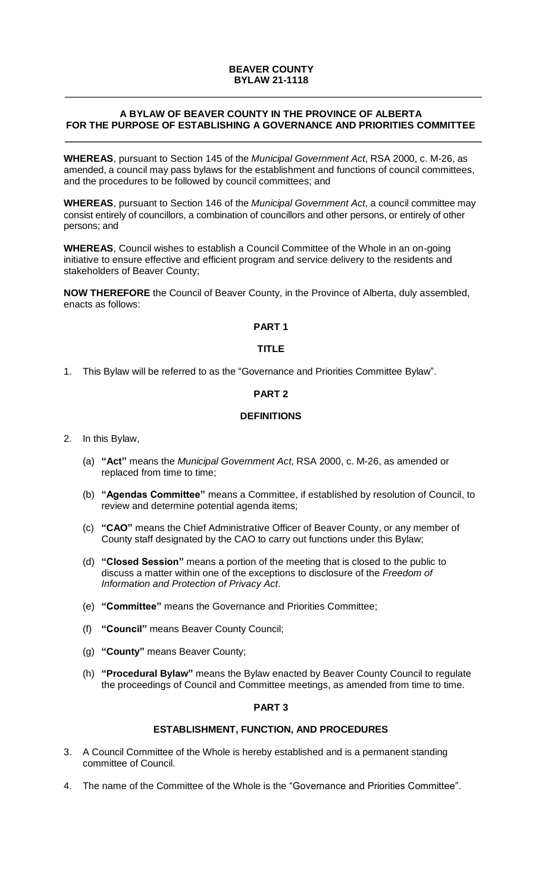# **BEAVER COUNTY BYLAW 21-1118**

# **A BYLAW OF BEAVER COUNTY IN THE PROVINCE OF ALBERTA FOR THE PURPOSE OF ESTABLISHING A GOVERNANCE AND PRIORITIES COMMITTEE**

**WHEREAS**, pursuant to Section 145 of the *Municipal Government Act*, RSA 2000, c. M-26, as amended, a council may pass bylaws for the establishment and functions of council committees, and the procedures to be followed by council committees; and

**WHEREAS**, pursuant to Section 146 of the *Municipal Government Act*, a council committee may consist entirely of councillors, a combination of councillors and other persons, or entirely of other persons; and

**WHEREAS**, Council wishes to establish a Council Committee of the Whole in an on-going initiative to ensure effective and efficient program and service delivery to the residents and stakeholders of Beaver County;

**NOW THEREFORE** the Council of Beaver County, in the Province of Alberta, duly assembled, enacts as follows:

# **PART 1**

## **TITLE**

1. This Bylaw will be referred to as the "Governance and Priorities Committee Bylaw".

## **PART 2**

# **DEFINITIONS**

2. In this Bylaw,

- (a) **"Act"** means the *Municipal Government Act*, RSA 2000, c. M-26, as amended or replaced from time to time;
- (b) **"Agendas Committee"** means a Committee, if established by resolution of Council, to review and determine potential agenda items;
- (c) **"CAO"** means the Chief Administrative Officer of Beaver County, or any member of County staff designated by the CAO to carry out functions under this Bylaw;
- (d) **"Closed Session"** means a portion of the meeting that is closed to the public to discuss a matter within one of the exceptions to disclosure of the *Freedom of Information and Protection of Privacy Act*.
- (e) **"Committee"** means the Governance and Priorities Committee;
- (f) **"Council"** means Beaver County Council;
- (g) **"County"** means Beaver County;
- (h) **"Procedural Bylaw"** means the Bylaw enacted by Beaver County Council to regulate the proceedings of Council and Committee meetings, as amended from time to time.

# **PART 3**

## **ESTABLISHMENT, FUNCTION, AND PROCEDURES**

- 3. A Council Committee of the Whole is hereby established and is a permanent standing committee of Council.
- 4. The name of the Committee of the Whole is the "Governance and Priorities Committee".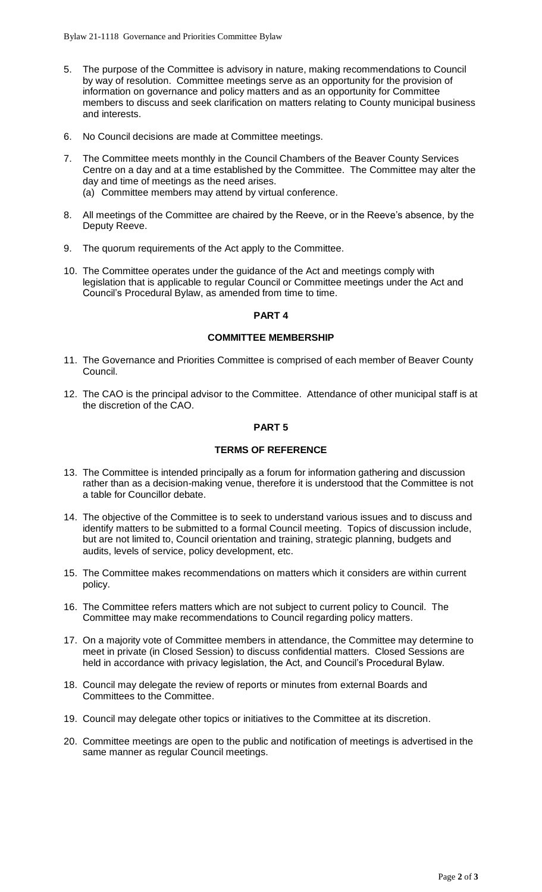- 5. The purpose of the Committee is advisory in nature, making recommendations to Council by way of resolution. Committee meetings serve as an opportunity for the provision of information on governance and policy matters and as an opportunity for Committee members to discuss and seek clarification on matters relating to County municipal business and interests.
- 6. No Council decisions are made at Committee meetings.
- 7. The Committee meets monthly in the Council Chambers of the Beaver County Services Centre on a day and at a time established by the Committee. The Committee may alter the day and time of meetings as the need arises.
	- (a) Committee members may attend by virtual conference.
- 8. All meetings of the Committee are chaired by the Reeve, or in the Reeve's absence, by the Deputy Reeve.
- 9. The quorum requirements of the Act apply to the Committee.
- 10. The Committee operates under the guidance of the Act and meetings comply with legislation that is applicable to regular Council or Committee meetings under the Act and Council's Procedural Bylaw, as amended from time to time.

## **PART 4**

# **COMMITTEE MEMBERSHIP**

- 11. The Governance and Priorities Committee is comprised of each member of Beaver County Council.
- 12. The CAO is the principal advisor to the Committee. Attendance of other municipal staff is at the discretion of the CAO.

## **PART 5**

## **TERMS OF REFERENCE**

- 13. The Committee is intended principally as a forum for information gathering and discussion rather than as a decision-making venue, therefore it is understood that the Committee is not a table for Councillor debate.
- 14. The objective of the Committee is to seek to understand various issues and to discuss and identify matters to be submitted to a formal Council meeting. Topics of discussion include, but are not limited to, Council orientation and training, strategic planning, budgets and audits, levels of service, policy development, etc.
- 15. The Committee makes recommendations on matters which it considers are within current policy.
- 16. The Committee refers matters which are not subject to current policy to Council. The Committee may make recommendations to Council regarding policy matters.
- 17. On a majority vote of Committee members in attendance, the Committee may determine to meet in private (in Closed Session) to discuss confidential matters. Closed Sessions are held in accordance with privacy legislation, the Act, and Council's Procedural Bylaw.
- 18. Council may delegate the review of reports or minutes from external Boards and Committees to the Committee.
- 19. Council may delegate other topics or initiatives to the Committee at its discretion.
- 20. Committee meetings are open to the public and notification of meetings is advertised in the same manner as regular Council meetings.